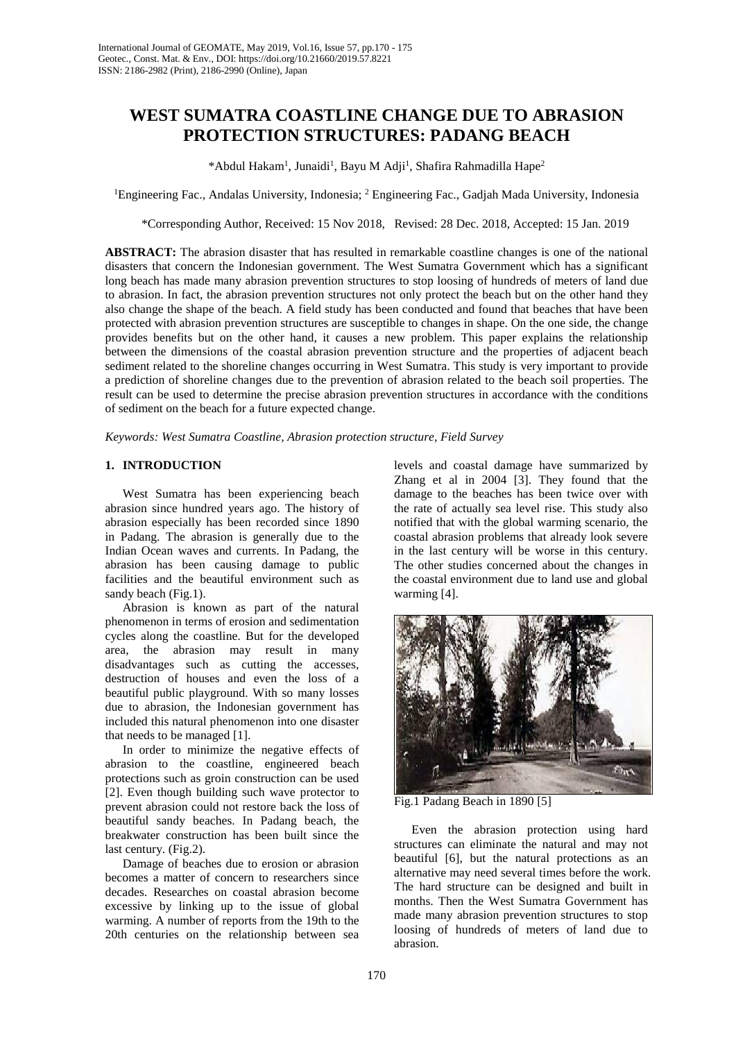# **WEST SUMATRA COASTLINE CHANGE DUE TO ABRASION PROTECTION STRUCTURES: PADANG BEACH**

\*Abdul Hakam<sup>1</sup>, Junaidi<sup>1</sup>, Bayu M Adji<sup>1</sup>, Shafira Rahmadilla Hape<sup>2</sup>

<sup>1</sup>Engineering Fac., Andalas University, Indonesia; <sup>2</sup> Engineering Fac., Gadjah Mada University, Indonesia

\*Corresponding Author, Received: 15 Nov 2018, Revised: 28 Dec. 2018, Accepted: 15 Jan. 2019

**ABSTRACT:** The abrasion disaster that has resulted in remarkable coastline changes is one of the national disasters that concern the Indonesian government. The West Sumatra Government which has a significant long beach has made many abrasion prevention structures to stop loosing of hundreds of meters of land due to abrasion. In fact, the abrasion prevention structures not only protect the beach but on the other hand they also change the shape of the beach. A field study has been conducted and found that beaches that have been protected with abrasion prevention structures are susceptible to changes in shape. On the one side, the change provides benefits but on the other hand, it causes a new problem. This paper explains the relationship between the dimensions of the coastal abrasion prevention structure and the properties of adjacent beach sediment related to the shoreline changes occurring in West Sumatra. This study is very important to provide a prediction of shoreline changes due to the prevention of abrasion related to the beach soil properties. The result can be used to determine the precise abrasion prevention structures in accordance with the conditions of sediment on the beach for a future expected change.

*Keywords: West Sumatra Coastline, Abrasion protection structure, Field Survey*

# **1. INTRODUCTION**

West Sumatra has been experiencing beach abrasion since hundred years ago. The history of abrasion especially has been recorded since 1890 in Padang. The abrasion is generally due to the Indian Ocean waves and currents. In Padang, the abrasion has been causing damage to public facilities and the beautiful environment such as sandy beach (Fig.1).

Abrasion is known as part of the natural phenomenon in terms of erosion and sedimentation cycles along the coastline. But for the developed area, the abrasion may result in many disadvantages such as cutting the accesses, destruction of houses and even the loss of a beautiful public playground. With so many losses due to abrasion, the Indonesian government has included this natural phenomenon into one disaster that needs to be managed [1].

In order to minimize the negative effects of abrasion to the coastline, engineered beach protections such as groin construction can be used [2]. Even though building such wave protector to prevent abrasion could not restore back the loss of beautiful sandy beaches. In Padang beach, the breakwater construction has been built since the last century. (Fig.2).

Damage of beaches due to erosion or abrasion becomes a matter of concern to researchers since decades. Researches on coastal abrasion become excessive by linking up to the issue of global warming. A number of reports from the 19th to the 20th centuries on the relationship between sea

levels and coastal damage have summarized by Zhang et al in 2004 [3]. They found that the damage to the beaches has been twice over with the rate of actually sea level rise. This study also notified that with the global warming scenario, the coastal abrasion problems that already look severe in the last century will be worse in this century. The other studies concerned about the changes in the coastal environment due to land use and global warming [4].



Fig.1 Padang Beach in 1890 [5]

Even the abrasion protection using hard structures can eliminate the natural and may not beautiful [6], but the natural protections as an alternative may need several times before the work. The hard structure can be designed and built in months. Then the West Sumatra Government has made many abrasion prevention structures to stop loosing of hundreds of meters of land due to abrasion.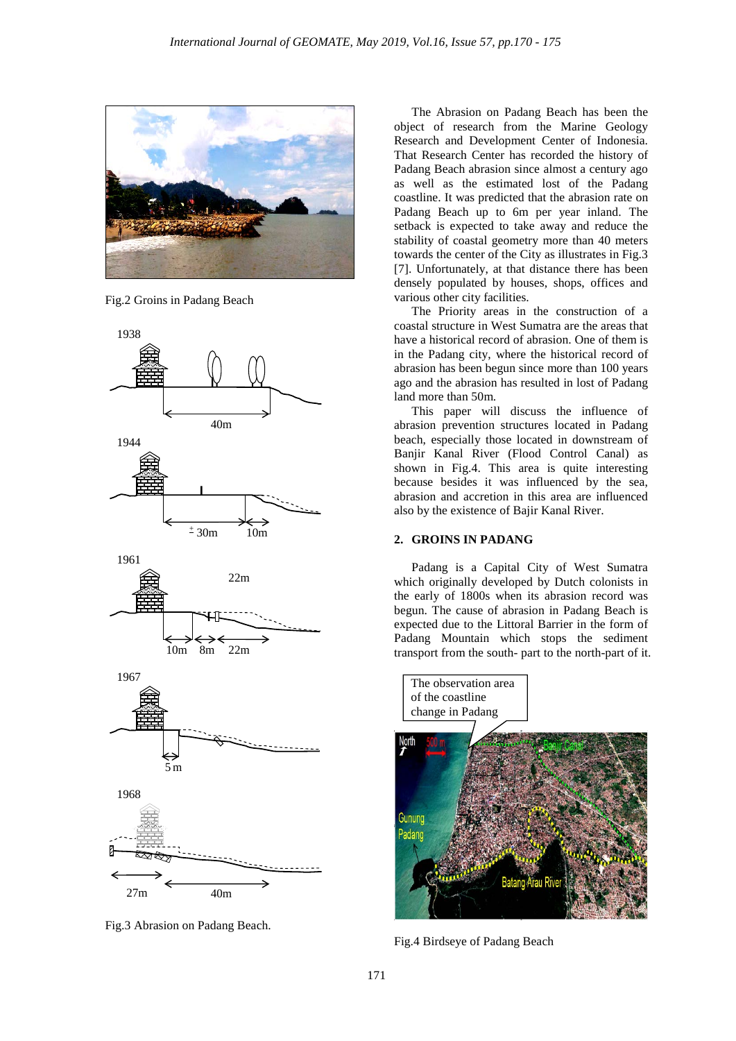

Fig.2 Groins in Padang Beach



Fig.3 Abrasion on Padang Beach.

The Abrasion on Padang Beach has been the object of research from the Marine Geology Research and Development Center of Indonesia. That Research Center has recorded the history of Padang Beach abrasion since almost a century ago as well as the estimated lost of the Padang coastline. It was predicted that the abrasion rate on Padang Beach up to 6m per year inland. The setback is expected to take away and reduce the stability of coastal geometry more than 40 meters towards the center of the City as illustrates in Fig.3 [7]. Unfortunately, at that distance there has been densely populated by houses, shops, offices and various other city facilities.

The Priority areas in the construction of a coastal structure in West Sumatra are the areas that have a historical record of abrasion. One of them is in the Padang city, where the historical record of abrasion has been begun since more than 100 years ago and the abrasion has resulted in lost of Padang land more than 50m.

This paper will discuss the influence of abrasion prevention structures located in Padang beach, especially those located in downstream of Banjir Kanal River (Flood Control Canal) as shown in Fig.4. This area is quite interesting because besides it was influenced by the sea, abrasion and accretion in this area are influenced also by the existence of Bajir Kanal River.

#### **2. GROINS IN PADANG**

Padang is a Capital City of West Sumatra which originally developed by Dutch colonists in the early of 1800s when its abrasion record was begun. The cause of abrasion in Padang Beach is expected due to the Littoral Barrier in the form of Padang Mountain which stops the sediment transport from the south- part to the north-part of it.



Fig.4 Birdseye of Padang Beach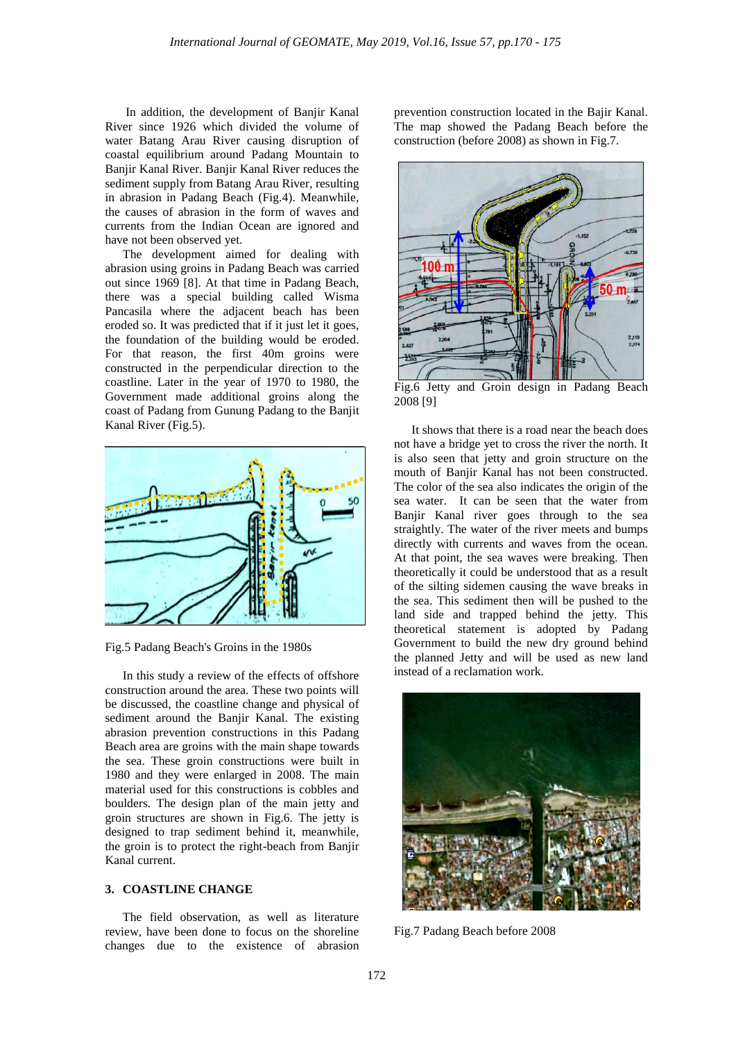In addition, the development of Banjir Kanal River since 1926 which divided the volume of water Batang Arau River causing disruption of coastal equilibrium around Padang Mountain to Banjir Kanal River. Banjir Kanal River reduces the sediment supply from Batang Arau River, resulting in abrasion in Padang Beach (Fig.4). Meanwhile, the causes of abrasion in the form of waves and currents from the Indian Ocean are ignored and have not been observed yet.

The development aimed for dealing with abrasion using groins in Padang Beach was carried out since 1969 [8]. At that time in Padang Beach, there was a special building called Wisma Pancasila where the adjacent beach has been eroded so. It was predicted that if it just let it goes, the foundation of the building would be eroded. For that reason, the first 40m groins were constructed in the perpendicular direction to the coastline. Later in the year of 1970 to 1980, the Government made additional groins along the coast of Padang from Gunung Padang to the Banjit Kanal River (Fig.5).



Fig.5 Padang Beach's Groins in the 1980s

In this study a review of the effects of offshore construction around the area. These two points will be discussed, the coastline change and physical of sediment around the Banjir Kanal. The existing abrasion prevention constructions in this Padang Beach area are groins with the main shape towards the sea. These groin constructions were built in 1980 and they were enlarged in 2008. The main material used for this constructions is cobbles and boulders. The design plan of the main jetty and groin structures are shown in Fig.6. The jetty is designed to trap sediment behind it, meanwhile, the groin is to protect the right-beach from Banjir Kanal current.

#### **3. COASTLINE CHANGE**

The field observation, as well as literature review, have been done to focus on the shoreline changes due to the existence of abrasion prevention construction located in the Bajir Kanal. The map showed the Padang Beach before the construction (before 2008) as shown in Fig.7.



Fig.6 Jetty and Groin design in Padang Beach 2008 [9]

It shows that there is a road near the beach does not have a bridge yet to cross the river the north. It is also seen that jetty and groin structure on the mouth of Banjir Kanal has not been constructed. The color of the sea also indicates the origin of the sea water. It can be seen that the water from Banjir Kanal river goes through to the sea straightly. The water of the river meets and bumps directly with currents and waves from the ocean. At that point, the sea waves were breaking. Then theoretically it could be understood that as a result of the silting sidemen causing the wave breaks in the sea. This sediment then will be pushed to the land side and trapped behind the jetty. This theoretical statement is adopted by Padang Government to build the new dry ground behind the planned Jetty and will be used as new land instead of a reclamation work.



Fig.7 Padang Beach before 2008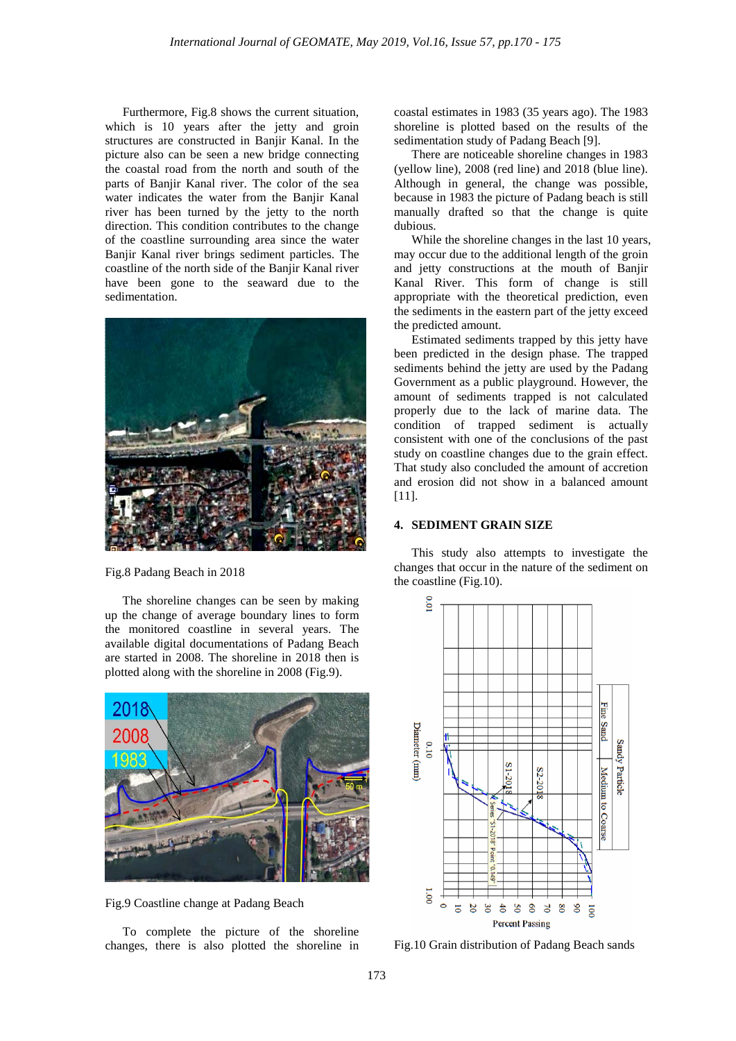Furthermore, Fig.8 shows the current situation, which is 10 years after the jetty and groin structures are constructed in Banjir Kanal. In the picture also can be seen a new bridge connecting the coastal road from the north and south of the parts of Banjir Kanal river. The color of the sea water indicates the water from the Banjir Kanal river has been turned by the jetty to the north direction. This condition contributes to the change of the coastline surrounding area since the water Banjir Kanal river brings sediment particles. The coastline of the north side of the Banjir Kanal river have been gone to the seaward due to the sedimentation.



Fig.8 Padang Beach in 2018

The shoreline changes can be seen by making up the change of average boundary lines to form the monitored coastline in several years. The available digital documentations of Padang Beach are started in 2008. The shoreline in 2018 then is plotted along with the shoreline in 2008 (Fig.9).



Fig.9 Coastline change at Padang Beach

To complete the picture of the shoreline changes, there is also plotted the shoreline in coastal estimates in 1983 (35 years ago). The 1983 shoreline is plotted based on the results of the sedimentation study of Padang Beach [9].

There are noticeable shoreline changes in 1983 (yellow line), 2008 (red line) and 2018 (blue line). Although in general, the change was possible, because in 1983 the picture of Padang beach is still manually drafted so that the change is quite dubious.

While the shoreline changes in the last 10 years, may occur due to the additional length of the groin and jetty constructions at the mouth of Banjir Kanal River. This form of change is still appropriate with the theoretical prediction, even the sediments in the eastern part of the jetty exceed the predicted amount.

Estimated sediments trapped by this jetty have been predicted in the design phase. The trapped sediments behind the jetty are used by the Padang Government as a public playground. However, the amount of sediments trapped is not calculated properly due to the lack of marine data. The condition of trapped sediment is actually consistent with one of the conclusions of the past study on coastline changes due to the grain effect. That study also concluded the amount of accretion and erosion did not show in a balanced amount [11].

#### **4. SEDIMENT GRAIN SIZE**

This study also attempts to investigate the changes that occur in the nature of the sediment on the coastline (Fig.10).



Fig.10 Grain distribution of Padang Beach sands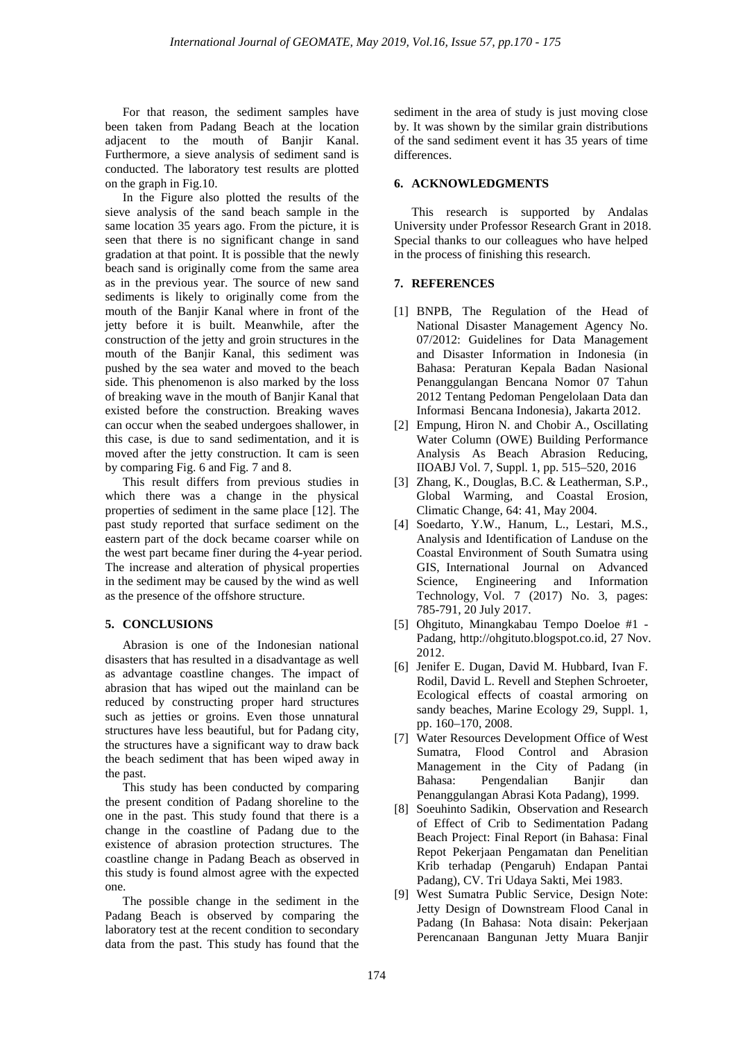For that reason, the sediment samples have been taken from Padang Beach at the location adjacent to the mouth of Banjir Kanal. Furthermore, a sieve analysis of sediment sand is conducted. The laboratory test results are plotted on the graph in Fig.10.

In the Figure also plotted the results of the sieve analysis of the sand beach sample in the same location 35 years ago. From the picture, it is seen that there is no significant change in sand gradation at that point. It is possible that the newly beach sand is originally come from the same area as in the previous year. The source of new sand sediments is likely to originally come from the mouth of the Banjir Kanal where in front of the jetty before it is built. Meanwhile, after the construction of the jetty and groin structures in the mouth of the Banjir Kanal, this sediment was pushed by the sea water and moved to the beach side. This phenomenon is also marked by the loss of breaking wave in the mouth of Banjir Kanal that existed before the construction. Breaking waves can occur when the seabed undergoes shallower, in this case, is due to sand sedimentation, and it is moved after the jetty construction. It cam is seen by comparing Fig. 6 and Fig. 7 and 8.

This result differs from previous studies in which there was a change in the physical properties of sediment in the same place [12]. The past study reported that surface sediment on the eastern part of the dock became coarser while on the west part became finer during the 4-year period. The increase and alteration of physical properties in the sediment may be caused by the wind as well as the presence of the offshore structure.

#### **5. CONCLUSIONS**

Abrasion is one of the Indonesian national disasters that has resulted in a disadvantage as well as advantage coastline changes. The impact of abrasion that has wiped out the mainland can be reduced by constructing proper hard structures such as jetties or groins. Even those unnatural structures have less beautiful, but for Padang city, the structures have a significant way to draw back the beach sediment that has been wiped away in the past.

This study has been conducted by comparing the present condition of Padang shoreline to the one in the past. This study found that there is a change in the coastline of Padang due to the existence of abrasion protection structures. The coastline change in Padang Beach as observed in this study is found almost agree with the expected one.

The possible change in the sediment in the Padang Beach is observed by comparing the laboratory test at the recent condition to secondary data from the past. This study has found that the

sediment in the area of study is just moving close by. It was shown by the similar grain distributions of the sand sediment event it has 35 years of time differences.

## **6. ACKNOWLEDGMENTS**

This research is supported by Andalas University under Professor Research Grant in 2018. Special thanks to our colleagues who have helped in the process of finishing this research.

## **7. REFERENCES**

- [1] BNPB, The Regulation of the Head of National Disaster Management Agency No. 07/2012: Guidelines for Data Management and Disaster Information in Indonesia (in Bahasa: Peraturan Kepala Badan Nasional Penanggulangan Bencana Nomor 07 Tahun 2012 Tentang Pedoman Pengelolaan Data dan Informasi Bencana Indonesia), Jakarta 2012.
- [2] Empung, Hiron N. and Chobir A., Oscillating Water Column (OWE) Building Performance Analysis As Beach Abrasion Reducing, IIOABJ Vol. 7, Suppl. 1, pp. 515–520, 2016
- [3] Zhang, K., Douglas, B.C. & Leatherman, S.P., Global Warming, and Coastal Erosion, Climatic Change, 64: 41, May 2004.
- [4] Soedarto, Y.W., Hanum, L., Lestari, M.S., Analysis and Identification of Landuse on the Coastal Environment of South Sumatra using GIS, International Journal on Advanced Science, Engineering and Information Technology, Vol. 7 (2017) No. 3, pages: 785-791, 20 July 2017.
- [5] Ohgituto, Minangkabau Tempo Doeloe #1 Padang, http://ohgituto.blogspot.co.id, 27 Nov. 2012.
- [6] Jenifer E. Dugan, David M. Hubbard, Ivan F. Rodil, David L. Revell and Stephen Schroeter, Ecological effects of coastal armoring on sandy beaches, Marine Ecology 29, Suppl. 1, pp. 160–170, 2008.
- [7] Water Resources Development Office of West Sumatra, Flood Control and Abrasion Management in the City of Padang (in Bahasa: Pengendalian Banjir dan Penanggulangan Abrasi Kota Padang), 1999.
- [8] Soeuhinto Sadikin, Observation and Research of Effect of Crib to Sedimentation Padang Beach Project: Final Report (in Bahasa: Final Repot Pekerjaan Pengamatan dan Penelitian Krib terhadap (Pengaruh) Endapan Pantai Padang), CV. Tri Udaya Sakti, Mei 1983.
- [9] West Sumatra Public Service, Design Note: Jetty Design of Downstream Flood Canal in Padang (In Bahasa: Nota disain: Pekerjaan Perencanaan Bangunan Jetty Muara Banjir